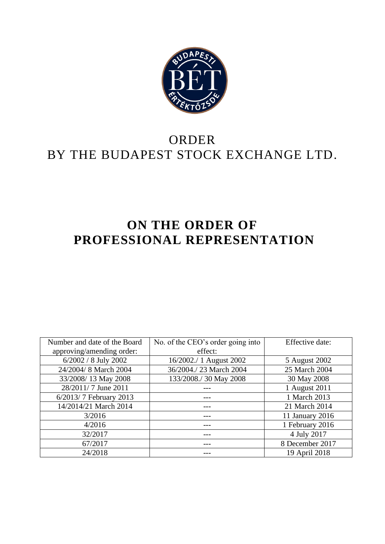

# ORDER BY THE BUDAPEST STOCK EXCHANGE LTD.

# **ON THE ORDER OF PROFESSIONAL REPRESENTATION**

| Number and date of the Board | No. of the CEO's order going into | Effective date: |
|------------------------------|-----------------------------------|-----------------|
| approving/amending order:    | effect:                           |                 |
| 6/2002 / 8 July 2002         | 16/2002./ 1 August 2002           | 5 August 2002   |
| 24/2004/8 March 2004         | 36/2004./23 March 2004            | 25 March 2004   |
| 33/2008/13 May 2008          | 133/2008./ 30 May 2008            | 30 May 2008     |
| 28/2011/7 June 2011          |                                   | 1 August 2011   |
| 6/2013/7 February 2013       |                                   | 1 March 2013    |
| 14/2014/21 March 2014        |                                   | 21 March 2014   |
| 3/2016                       |                                   | 11 January 2016 |
| 4/2016                       |                                   | 1 February 2016 |
| 32/2017                      |                                   | 4 July 2017     |
| 67/2017                      |                                   | 8 December 2017 |
| 24/2018                      |                                   | 19 April 2018   |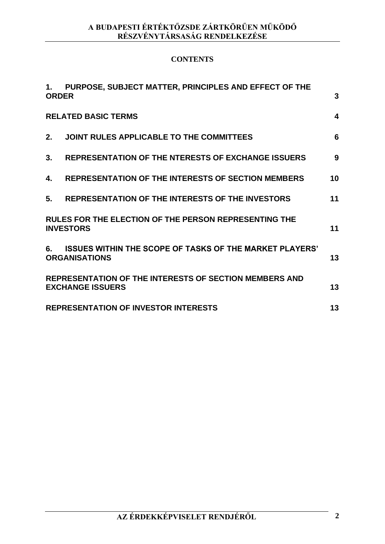## **CONTENTS**

| 1.           | PURPOSE, SUBJECT MATTER, PRINCIPLES AND EFFECT OF THE                                    |    |
|--------------|------------------------------------------------------------------------------------------|----|
| <b>ORDER</b> |                                                                                          | 3  |
|              | <b>RELATED BASIC TERMS</b>                                                               | 4  |
| 2.           | JOINT RULES APPLICABLE TO THE COMMITTEES                                                 | 6  |
| 3.           | <b>REPRESENTATION OF THE NTERESTS OF EXCHANGE ISSUERS</b>                                | 9  |
| 4.           | <b>REPRESENTATION OF THE INTERESTS OF SECTION MEMBERS</b>                                | 10 |
| 5.           | REPRESENTATION OF THE INTERESTS OF THE INVESTORS                                         | 11 |
|              | <b>RULES FOR THE ELECTION OF THE PERSON REPRESENTING THE</b><br><b>INVESTORS</b>         | 11 |
| 6.           | <b>ISSUES WITHIN THE SCOPE OF TASKS OF THE MARKET PLAYERS'</b><br><b>ORGANISATIONS</b>   | 13 |
|              | <b>REPRESENTATION OF THE INTERESTS OF SECTION MEMBERS AND</b><br><b>EXCHANGE ISSUERS</b> | 13 |
|              | <b>REPRESENTATION OF INVESTOR INTERESTS</b>                                              | 13 |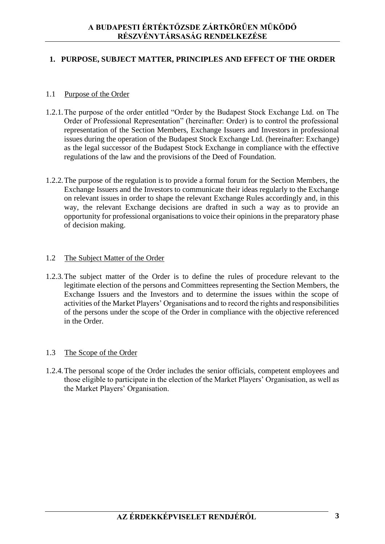#### **1. PURPOSE, SUBJECT MATTER, PRINCIPLES AND EFFECT OF THE ORDER**

#### 1.1 Purpose of the Order

- 1.2.1.The purpose of the order entitled "Order by the Budapest Stock Exchange Ltd. on The Order of Professional Representation" (hereinafter: Order) is to control the professional representation of the Section Members, Exchange Issuers and Investors in professional issues during the operation of the Budapest Stock Exchange Ltd. (hereinafter: Exchange) as the legal successor of the Budapest Stock Exchange in compliance with the effective regulations of the law and the provisions of the Deed of Foundation.
- 1.2.2.The purpose of the regulation is to provide a formal forum for the Section Members, the Exchange Issuers and the Investors to communicate their ideas regularly to the Exchange on relevant issues in order to shape the relevant Exchange Rules accordingly and, in this way, the relevant Exchange decisions are drafted in such a way as to provide an opportunity for professional organisations to voice their opinions in the preparatory phase of decision making.

#### 1.2 The Subject Matter of the Order

1.2.3.The subject matter of the Order is to define the rules of procedure relevant to the legitimate election of the persons and Committees representing the Section Members, the Exchange Issuers and the Investors and to determine the issues within the scope of activities of the Market Players' Organisations and to record the rights and responsibilities of the persons under the scope of the Order in compliance with the objective referenced in the Order.

#### 1.3 The Scope of the Order

1.2.4.The personal scope of the Order includes the senior officials, competent employees and those eligible to participate in the election of the Market Players' Organisation, as well as the Market Players' Organisation.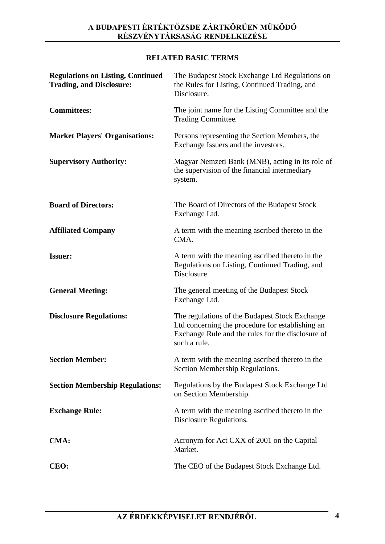## **RELATED BASIC TERMS**

| <b>Regulations on Listing, Continued</b><br><b>Trading, and Disclosure:</b> | The Budapest Stock Exchange Ltd Regulations on<br>the Rules for Listing, Continued Trading, and<br>Disclosure.                                                          |
|-----------------------------------------------------------------------------|-------------------------------------------------------------------------------------------------------------------------------------------------------------------------|
| <b>Committees:</b>                                                          | The joint name for the Listing Committee and the<br>Trading Committee.                                                                                                  |
| <b>Market Players' Organisations:</b>                                       | Persons representing the Section Members, the<br>Exchange Issuers and the investors.                                                                                    |
| <b>Supervisory Authority:</b>                                               | Magyar Nemzeti Bank (MNB), acting in its role of<br>the supervision of the financial intermediary<br>system.                                                            |
| <b>Board of Directors:</b>                                                  | The Board of Directors of the Budapest Stock<br>Exchange Ltd.                                                                                                           |
| <b>Affiliated Company</b>                                                   | A term with the meaning ascribed thereto in the<br>CMA.                                                                                                                 |
| <b>Issuer:</b>                                                              | A term with the meaning ascribed thereto in the<br>Regulations on Listing, Continued Trading, and<br>Disclosure.                                                        |
| <b>General Meeting:</b>                                                     | The general meeting of the Budapest Stock<br>Exchange Ltd.                                                                                                              |
| <b>Disclosure Regulations:</b>                                              | The regulations of the Budapest Stock Exchange<br>Ltd concerning the procedure for establishing an<br>Exchange Rule and the rules for the disclosure of<br>such a rule. |
| <b>Section Member:</b>                                                      | A term with the meaning ascribed thereto in the<br>Section Membership Regulations.                                                                                      |
| <b>Section Membership Regulations:</b>                                      | Regulations by the Budapest Stock Exchange Ltd<br>on Section Membership.                                                                                                |
| <b>Exchange Rule:</b>                                                       | A term with the meaning ascribed thereto in the<br>Disclosure Regulations.                                                                                              |
| <b>CMA:</b>                                                                 | Acronym for Act CXX of 2001 on the Capital<br>Market.                                                                                                                   |
| CEO:                                                                        | The CEO of the Budapest Stock Exchange Ltd.                                                                                                                             |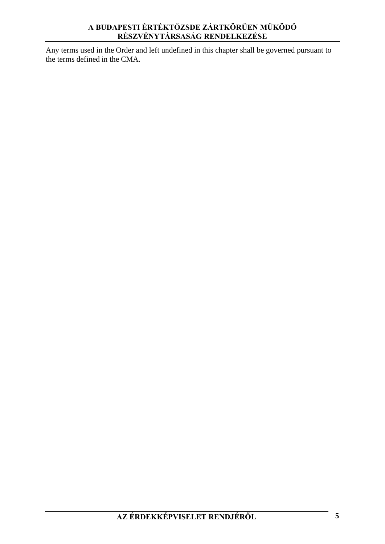Any terms used in the Order and left undefined in this chapter shall be governed pursuant to the terms defined in the CMA.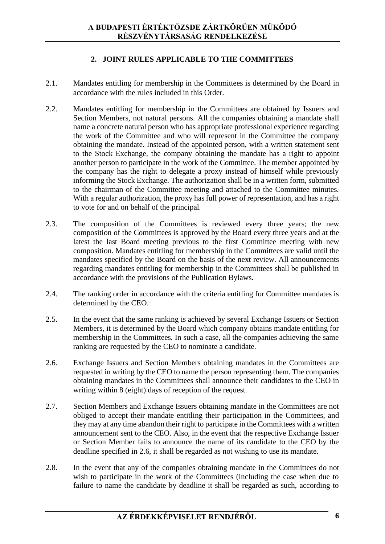#### **2. JOINT RULES APPLICABLE TO THE COMMITTEES**

- 2.1. Mandates entitling for membership in the Committees is determined by the Board in accordance with the rules included in this Order.
- 2.2. Mandates entitling for membership in the Committees are obtained by Issuers and Section Members, not natural persons. All the companies obtaining a mandate shall name a concrete natural person who has appropriate professional experience regarding the work of the Committee and who will represent in the Committee the company obtaining the mandate. Instead of the appointed person, with a written statement sent to the Stock Exchange, the company obtaining the mandate has a right to appoint another person to participate in the work of the Committee. The member appointed by the company has the right to delegate a proxy instead of himself while previously informing the Stock Exchange. The authorization shall be in a written form, submitted to the chairman of the Committee meeting and attached to the Committee minutes. With a regular authorization, the proxy has full power of representation, and has a right to vote for and on behalf of the principal.
- 2.3. The composition of the Committees is reviewed every three years; the new composition of the Committees is approved by the Board every three years and at the latest the last Board meeting previous to the first Committee meeting with new composition. Mandates entitling for membership in the Committees are valid until the mandates specified by the Board on the basis of the next review. All announcements regarding mandates entitling for membership in the Committees shall be published in accordance with the provisions of the Publication Bylaws.
- 2.4. The ranking order in accordance with the criteria entitling for Committee mandates is determined by the CEO.
- 2.5. In the event that the same ranking is achieved by several Exchange Issuers or Section Members, it is determined by the Board which company obtains mandate entitling for membership in the Committees. In such a case, all the companies achieving the same ranking are requested by the CEO to nominate a candidate.
- 2.6. Exchange Issuers and Section Members obtaining mandates in the Committees are requested in writing by the CEO to name the person representing them. The companies obtaining mandates in the Committees shall announce their candidates to the CEO in writing within 8 (eight) days of reception of the request.
- 2.7. Section Members and Exchange Issuers obtaining mandate in the Committees are not obliged to accept their mandate entitling their participation in the Committees, and they may at any time abandon their right to participate in the Committees with a written announcement sent to the CEO. Also, in the event that the respective Exchange Issuer or Section Member fails to announce the name of its candidate to the CEO by the deadline specified in 2.6, it shall be regarded as not wishing to use its mandate.
- 2.8. In the event that any of the companies obtaining mandate in the Committees do not wish to participate in the work of the Committees (including the case when due to failure to name the candidate by deadline it shall be regarded as such, according to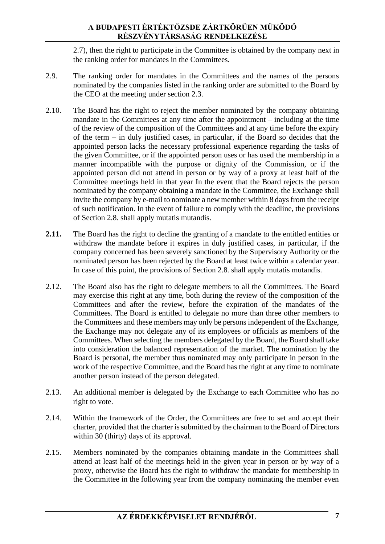2.7), then the right to participate in the Committee is obtained by the company next in the ranking order for mandates in the Committees.

- 2.9. The ranking order for mandates in the Committees and the names of the persons nominated by the companies listed in the ranking order are submitted to the Board by the CEO at the meeting under section 2.3.
- 2.10. The Board has the right to reject the member nominated by the company obtaining mandate in the Committees at any time after the appointment – including at the time of the review of the composition of the Committees and at any time before the expiry of the term – in duly justified cases, in particular, if the Board so decides that the appointed person lacks the necessary professional experience regarding the tasks of the given Committee, or if the appointed person uses or has used the membership in a manner incompatible with the purpose or dignity of the Commission, or if the appointed person did not attend in person or by way of a proxy at least half of the Committee meetings held in that year In the event that the Board rejects the person nominated by the company obtaining a mandate in the Committee, the Exchange shall invite the company by e-mail to nominate a new member within 8 days from the receipt of such notification. In the event of failure to comply with the deadline, the provisions of Section 2.8. shall apply mutatis mutandis.
- **2.11.** The Board has the right to decline the granting of a mandate to the entitled entities or withdraw the mandate before it expires in duly justified cases, in particular, if the company concerned has been severely sanctioned by the Supervisory Authority or the nominated person has been rejected by the Board at least twice within a calendar year. In case of this point, the provisions of Section 2.8. shall apply mutatis mutandis.
- 2.12. The Board also has the right to delegate members to all the Committees. The Board may exercise this right at any time, both during the review of the composition of the Committees and after the review, before the expiration of the mandates of the Committees. The Board is entitled to delegate no more than three other members to the Committees and these members may only be persons independent of the Exchange, the Exchange may not delegate any of its employees or officials as members of the Committees. When selecting the members delegated by the Board, the Board shall take into consideration the balanced representation of the market. The nomination by the Board is personal, the member thus nominated may only participate in person in the work of the respective Committee, and the Board has the right at any time to nominate another person instead of the person delegated.
- 2.13. An additional member is delegated by the Exchange to each Committee who has no right to vote.
- 2.14. Within the framework of the Order, the Committees are free to set and accept their charter, provided that the charter is submitted by the chairman to the Board of Directors within 30 (thirty) days of its approval.
- 2.15. Members nominated by the companies obtaining mandate in the Committees shall attend at least half of the meetings held in the given year in person or by way of a proxy, otherwise the Board has the right to withdraw the mandate for membership in the Committee in the following year from the company nominating the member even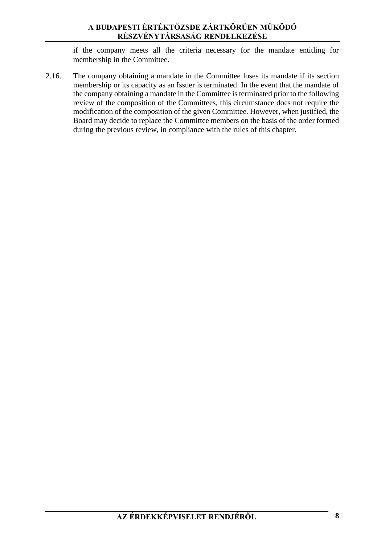if the company meets all the criteria necessary for the mandate entitling for membership in the Committee.

2.16. The company obtaining a mandate in the Committee loses its mandate if its section membership or its capacity as an Issuer is terminated. In the event that the mandate of the company obtaining a mandate in the Committee is terminated prior to the following review of the composition of the Committees, this circumstance does not require the modification of the composition of the given Committee. However, when justified, the Board may decide to replace the Committee members on the basis of the order formed during the previous review, in compliance with the rules of this chapter.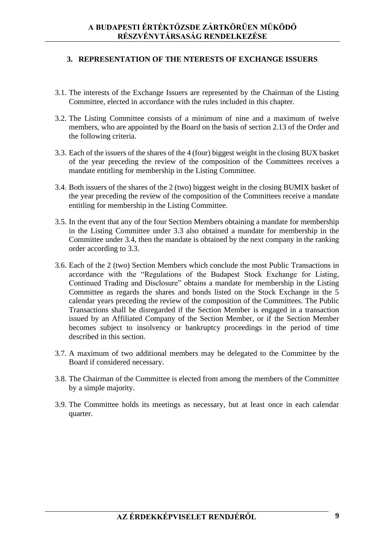#### **3. REPRESENTATION OF THE NTERESTS OF EXCHANGE ISSUERS**

- 3.1. The interests of the Exchange Issuers are represented by the Chairman of the Listing Committee, elected in accordance with the rules included in this chapter.
- 3.2. The Listing Committee consists of a minimum of nine and a maximum of twelve members, who are appointed by the Board on the basis of section 2.13 of the Order and the following criteria.
- 3.3. Each of the issuers of the shares of the 4 (four) biggest weight in the closing BUX basket of the year preceding the review of the composition of the Committees receives a mandate entitling for membership in the Listing Committee.
- 3.4. Both issuers of the shares of the 2 (two) biggest weight in the closing BUMIX basket of the year preceding the review of the composition of the Committees receive a mandate entitling for membership in the Listing Committee.
- 3.5. In the event that any of the four Section Members obtaining a mandate for membership in the Listing Committee under 3.3 also obtained a mandate for membership in the Committee under 3.4, then the mandate is obtained by the next company in the ranking order according to 3.3.
- 3.6. Each of the 2 (two) Section Members which conclude the most Public Transactions in accordance with the "Regulations of the Budapest Stock Exchange for Listing, Continued Trading and Disclosure" obtains a mandate for membership in the Listing Committee as regards the shares and bonds listed on the Stock Exchange in the 5 calendar years preceding the review of the composition of the Committees. The Public Transactions shall be disregarded if the Section Member is engaged in a transaction issued by an Affiliated Company of the Section Member, or if the Section Member becomes subject to insolvency or bankruptcy proceedings in the period of time described in this section.
- 3.7. A maximum of two additional members may be delegated to the Committee by the Board if considered necessary.
- 3.8. The Chairman of the Committee is elected from among the members of the Committee by a simple majority.
- 3.9. The Committee holds its meetings as necessary, but at least once in each calendar quarter.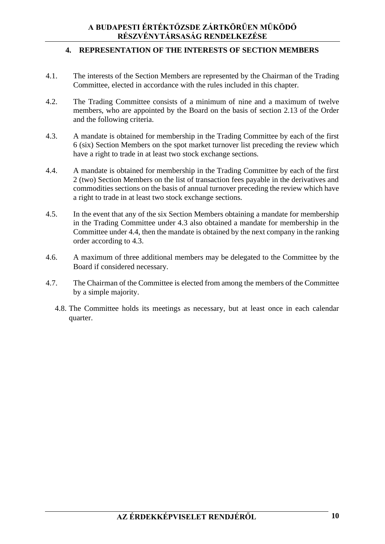### **4. REPRESENTATION OF THE INTERESTS OF SECTION MEMBERS**

- 4.1. The interests of the Section Members are represented by the Chairman of the Trading Committee, elected in accordance with the rules included in this chapter.
- 4.2. The Trading Committee consists of a minimum of nine and a maximum of twelve members, who are appointed by the Board on the basis of section 2.13 of the Order and the following criteria.
- 4.3. A mandate is obtained for membership in the Trading Committee by each of the first 6 (six) Section Members on the spot market turnover list preceding the review which have a right to trade in at least two stock exchange sections.
- 4.4. A mandate is obtained for membership in the Trading Committee by each of the first 2 (two) Section Members on the list of transaction fees payable in the derivatives and commodities sections on the basis of annual turnover preceding the review which have a right to trade in at least two stock exchange sections.
- 4.5. In the event that any of the six Section Members obtaining a mandate for membership in the Trading Committee under 4.3 also obtained a mandate for membership in the Committee under 4.4, then the mandate is obtained by the next company in the ranking order according to 4.3.
- 4.6. A maximum of three additional members may be delegated to the Committee by the Board if considered necessary.
- 4.7. The Chairman of the Committee is elected from among the members of the Committee by a simple majority.
	- 4.8. The Committee holds its meetings as necessary, but at least once in each calendar quarter.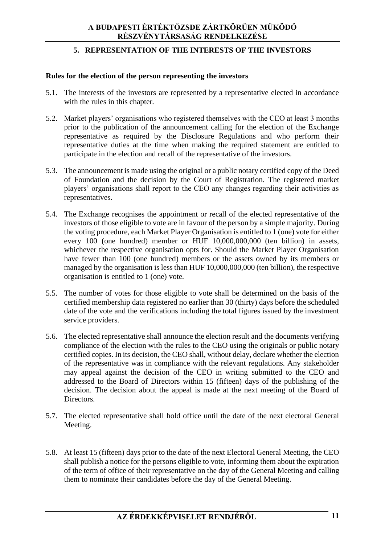#### **5. REPRESENTATION OF THE INTERESTS OF THE INVESTORS**

#### **Rules for the election of the person representing the investors**

- 5.1. The interests of the investors are represented by a representative elected in accordance with the rules in this chapter.
- 5.2. Market players' organisations who registered themselves with the CEO at least 3 months prior to the publication of the announcement calling for the election of the Exchange representative as required by the Disclosure Regulations and who perform their representative duties at the time when making the required statement are entitled to participate in the election and recall of the representative of the investors.
- 5.3. The announcement is made using the original or a public notary certified copy of the Deed of Foundation and the decision by the Court of Registration. The registered market players' organisations shall report to the CEO any changes regarding their activities as representatives.
- 5.4. The Exchange recognises the appointment or recall of the elected representative of the investors of those eligible to vote are in favour of the person by a simple majority. During the voting procedure, each Market Player Organisation is entitled to 1 (one) vote for either every 100 (one hundred) member or HUF 10,000,000,000 (ten billion) in assets, whichever the respective organisation opts for. Should the Market Player Organisation have fewer than 100 (one hundred) members or the assets owned by its members or managed by the organisation is less than HUF 10,000,000,000 (ten billion), the respective organisation is entitled to 1 (one) vote.
- 5.5. The number of votes for those eligible to vote shall be determined on the basis of the certified membership data registered no earlier than 30 (thirty) days before the scheduled date of the vote and the verifications including the total figures issued by the investment service providers.
- 5.6. The elected representative shall announce the election result and the documents verifying compliance of the election with the rules to the CEO using the originals or public notary certified copies. In its decision, the CEO shall, without delay, declare whether the election of the representative was in compliance with the relevant regulations. Any stakeholder may appeal against the decision of the CEO in writing submitted to the CEO and addressed to the Board of Directors within 15 (fifteen) days of the publishing of the decision. The decision about the appeal is made at the next meeting of the Board of Directors.
- 5.7. The elected representative shall hold office until the date of the next electoral General Meeting.
- 5.8. At least 15 (fifteen) days prior to the date of the next Electoral General Meeting, the CEO shall publish a notice for the persons eligible to vote, informing them about the expiration of the term of office of their representative on the day of the General Meeting and calling them to nominate their candidates before the day of the General Meeting.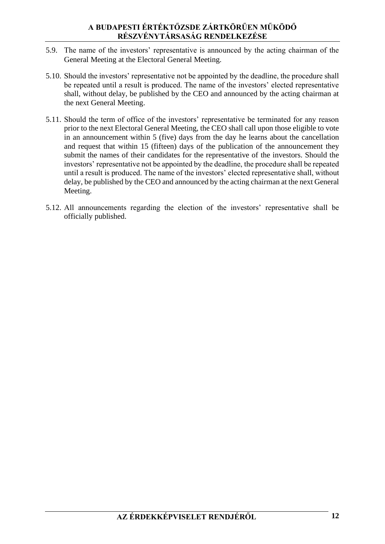- 5.9. The name of the investors' representative is announced by the acting chairman of the General Meeting at the Electoral General Meeting.
- 5.10. Should the investors' representative not be appointed by the deadline, the procedure shall be repeated until a result is produced. The name of the investors' elected representative shall, without delay, be published by the CEO and announced by the acting chairman at the next General Meeting.
- 5.11. Should the term of office of the investors' representative be terminated for any reason prior to the next Electoral General Meeting, the CEO shall call upon those eligible to vote in an announcement within 5 (five) days from the day he learns about the cancellation and request that within 15 (fifteen) days of the publication of the announcement they submit the names of their candidates for the representative of the investors. Should the investors' representative not be appointed by the deadline, the procedure shall be repeated until a result is produced. The name of the investors' elected representative shall, without delay, be published by the CEO and announced by the acting chairman at the next General Meeting.
- 5.12. All announcements regarding the election of the investors' representative shall be officially published.